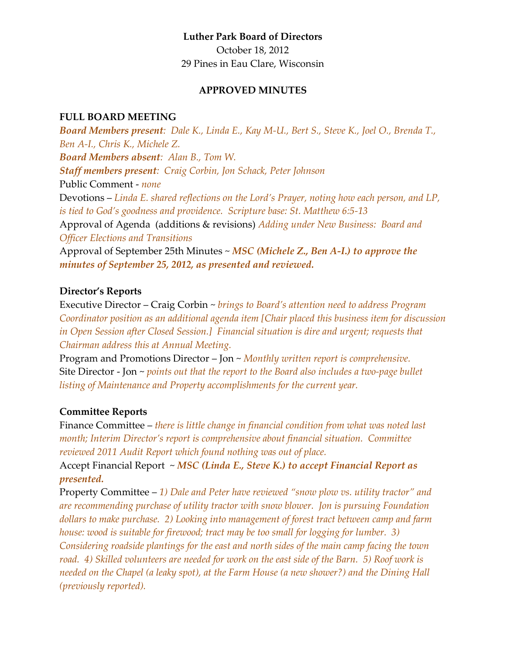## **Luther Park Board of Directors**

October 18, 2012 29 Pines in Eau Clare, Wisconsin

#### **APPROVED MINUTES**

#### **FULL BOARD MEETING**

*Board Members present: Dale K., Linda E., Kay M-U., Bert S., Steve K., Joel O., Brenda T., Ben A-I., Chris K., Michele Z. Board Members absent: Alan B., Tom W. Staff members present: Craig Corbin, Jon Schack, Peter Johnson* Public Comment - *none* Devotions – *Linda E. shared reflections on the Lord's Prayer, noting how each person, and LP, is tied to God's goodness and providence. Scripture base: St. Matthew 6:5-13* Approval of Agenda (additions & revisions) *Adding under New Business: Board and Officer Elections and Transitions* Approval of September 25th Minutes ~ *MSC (Michele Z., Ben A-I.) to approve the minutes of September 25, 2012, as presented and reviewed.*

## **Director's Reports**

Executive Director – Craig Corbin ~ *brings to Board's attention need to address Program Coordinator position as an additional agenda item [Chair placed this business item for discussion in Open Session after Closed Session.] Financial situation is dire and urgent; requests that Chairman address this at Annual Meeting.*

Program and Promotions Director – Jon ~ *Monthly written report is comprehensive.*  Site Director - Jon ~ *points out that the report to the Board also includes a two-page bullet listing of Maintenance and Property accomplishments for the current year.*

### **Committee Reports**

Finance Committee – *there is little change in financial condition from what was noted last month; Interim Director's report is comprehensive about financial situation. Committee reviewed 2011 Audit Report which found nothing was out of place.*

Accept Financial Report ~ *MSC (Linda E., Steve K.) to accept Financial Report as presented.*

Property Committee – *1) Dale and Peter have reviewed "snow plow vs. utility tractor" and are recommending purchase of utility tractor with snow blower. Jon is pursuing Foundation dollars to make purchase. 2) Looking into management of forest tract between camp and farm house: wood is suitable for firewood; tract may be too small for logging for lumber. 3) Considering roadside plantings for the east and north sides of the main camp facing the town road. 4) Skilled volunteers are needed for work on the east side of the Barn. 5) Roof work is needed on the Chapel (a leaky spot), at the Farm House (a new shower?) and the Dining Hall (previously reported).*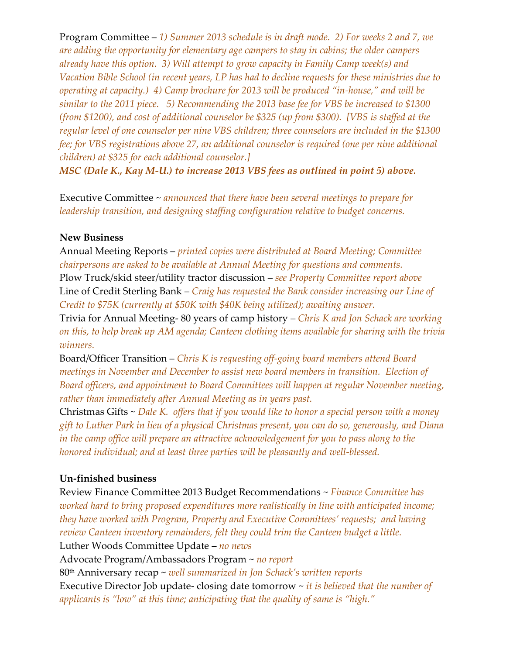Program Committee – *1) Summer 2013 schedule is in draft mode. 2) For weeks 2 and 7, we are adding the opportunity for elementary age campers to stay in cabins; the older campers already have this option. 3) Will attempt to grow capacity in Family Camp week(s) and Vacation Bible School (in recent years, LP has had to decline requests for these ministries due to operating at capacity.) 4) Camp brochure for 2013 will be produced "in-house," and will be similar to the 2011 piece. 5) Recommending the 2013 base fee for VBS be increased to \$1300 (from \$1200), and cost of additional counselor be \$325 (up from \$300). [VBS is staffed at the regular level of one counselor per nine VBS children; three counselors are included in the \$1300 fee; for VBS registrations above 27, an additional counselor is required (one per nine additional children) at \$325 for each additional counselor.]*

*MSC (Dale K., Kay M-U.) to increase 2013 VBS fees as outlined in point 5) above.*

Executive Committee ~ *announced that there have been several meetings to prepare for leadership transition, and designing staffing configuration relative to budget concerns.* 

### **New Business**

Annual Meeting Reports – *printed copies were distributed at Board Meeting; Committee chairpersons are asked to be available at Annual Meeting for questions and comments.* Plow Truck/skid steer/utility tractor discussion – *see Property Committee report above* Line of Credit Sterling Bank – *Craig has requested the Bank consider increasing our Line of Credit to \$75K (currently at \$50K with \$40K being utilized); awaiting answer.*

Trivia for Annual Meeting- 80 years of camp history – *Chris K and Jon Schack are working on this, to help break up AM agenda; Canteen clothing items available for sharing with the trivia winners.*

Board/Officer Transition – *Chris K is requesting off-going board members attend Board meetings in November and December to assist new board members in transition. Election of Board officers, and appointment to Board Committees will happen at regular November meeting, rather than immediately after Annual Meeting as in years past.*

Christmas Gifts ~ *Dale K. offers that if you would like to honor a special person with a money gift to Luther Park in lieu of a physical Christmas present, you can do so, generously, and Diana in the camp office will prepare an attractive acknowledgement for you to pass along to the honored individual; and at least three parties will be pleasantly and well-blessed.*

## **Un-finished business**

Review Finance Committee 2013 Budget Recommendations ~ *Finance Committee has worked hard to bring proposed expenditures more realistically in line with anticipated income; they have worked with Program, Property and Executive Committees' requests; and having review Canteen inventory remainders, felt they could trim the Canteen budget a little.*  Luther Woods Committee Update – *no news* Advocate Program/Ambassadors Program ~ *no report* 80th Anniversary recap ~ *well summarized in Jon Schack's written reports* Executive Director Job update- closing date tomorrow ~ *it is believed that the number of applicants is "low" at this time; anticipating that the quality of same is "high."*